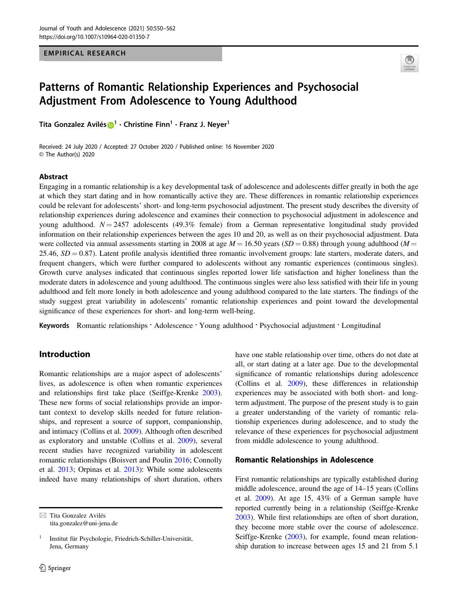EMPIRICAL RESEARCH



# Patterns of Romantic Relationship Experiences and Psychosocial Adjustment From Adolescence to Young Adulthood

Tita Gonzalez Avilés $\bigcirc \nolimits^1 \cdot$  $\bigcirc \nolimits^1 \cdot$  $\bigcirc \nolimits^1 \cdot$  Christine Finn $^1 \cdot$  Franz J. Neyer $^1$ 

Received: 24 July 2020 / Accepted: 27 October 2020 / Published online: 16 November 2020 © The Author(s) 2020

#### Abstract

Engaging in a romantic relationship is a key developmental task of adolescence and adolescents differ greatly in both the age at which they start dating and in how romantically active they are. These differences in romantic relationship experiences could be relevant for adolescents' short- and long-term psychosocial adjustment. The present study describes the diversity of relationship experiences during adolescence and examines their connection to psychosocial adjustment in adolescence and young adulthood.  $N = 2457$  adolescents (49.3% female) from a German representative longitudinal study provided information on their relationship experiences between the ages 10 and 20, as well as on their psychosocial adjustment. Data were collected via annual assessments starting in 2008 at age  $M = 16.50$  years (SD = 0.88) through young adulthood (M = 25.46,  $SD = 0.87$ ). Latent profile analysis identified three romantic involvement groups: late starters, moderate daters, and frequent changers, which were further compared to adolescents without any romantic experiences (continuous singles). Growth curve analyses indicated that continuous singles reported lower life satisfaction and higher loneliness than the moderate daters in adolescence and young adulthood. The continuous singles were also less satisfied with their life in young adulthood and felt more lonely in both adolescence and young adulthood compared to the late starters. The findings of the study suggest great variability in adolescents' romantic relationship experiences and point toward the developmental significance of these experiences for short- and long-term well-being.

Keywords Romantic relationships • Adolescence · Young adulthood · Psychosocial adjustment · Longitudinal

# Introduction

Romantic relationships are a major aspect of adolescents' lives, as adolescence is often when romantic experiences and relationships first take place (Seiffge-Krenke [2003](#page-12-0)). These new forms of social relationships provide an important context to develop skills needed for future relationships, and represent a source of support, companionship, and intimacy (Collins et al. [2009](#page-11-0)). Although often described as exploratory and unstable (Collins et al. [2009](#page-11-0)), several recent studies have recognized variability in adolescent romantic relationships (Boisvert and Poulin [2016;](#page-11-0) Connolly et al. [2013](#page-11-0); Orpinas et al. [2013](#page-12-0)): While some adolescents indeed have many relationships of short duration, others

 $\boxtimes$  Tita Gonzalez Avilés [tita.gonzalez@uni-jena.de](mailto:tita.gonzalez@uni-jena.de) have one stable relationship over time, others do not date at all, or start dating at a later age. Due to the developmental significance of romantic relationships during adolescence (Collins et al. [2009](#page-11-0)), these differences in relationship experiences may be associated with both short- and longterm adjustment. The purpose of the present study is to gain a greater understanding of the variety of romantic relationship experiences during adolescence, and to study the relevance of these experiences for psychosocial adjustment from middle adolescence to young adulthood.

#### Romantic Relationships in Adolescence

First romantic relationships are typically established during middle adolescence, around the age of 14–15 years (Collins et al. [2009\)](#page-11-0). At age 15, 43% of a German sample have reported currently being in a relationship (Seiffge-Krenke [2003](#page-12-0)). While first relationships are often of short duration, they become more stable over the course of adolescence. Seiffge-Krenke ([2003\)](#page-12-0), for example, found mean relationship duration to increase between ages 15 and 21 from 5.1

<sup>1</sup> Institut für Psychologie, Friedrich-Schiller-Universität, Jena, Germany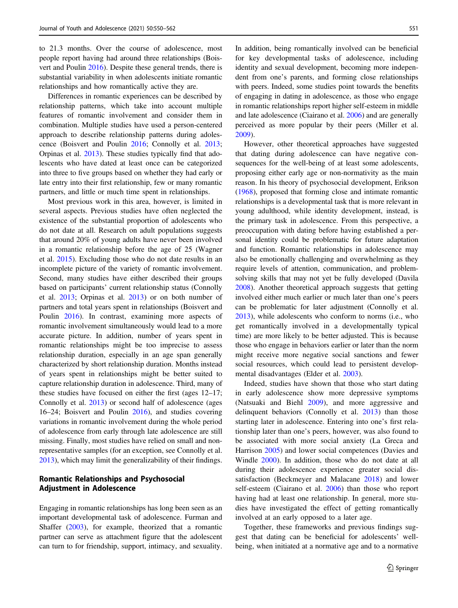to 21.3 months. Over the course of adolescence, most people report having had around three relationships (Boisvert and Poulin [2016\)](#page-11-0). Despite these general trends, there is substantial variability in when adolescents initiate romantic relationships and how romantically active they are.

Differences in romantic experiences can be described by relationship patterns, which take into account multiple features of romantic involvement and consider them in combination. Multiple studies have used a person-centered approach to describe relationship patterns during adolescence (Boisvert and Poulin [2016](#page-11-0); Connolly et al. [2013](#page-11-0); Orpinas et al. [2013](#page-12-0)). These studies typically find that adolescents who have dated at least once can be categorized into three to five groups based on whether they had early or late entry into their first relationship, few or many romantic partners, and little or much time spent in relationships.

Most previous work in this area, however, is limited in several aspects. Previous studies have often neglected the existence of the substantial proportion of adolescents who do not date at all. Research on adult populations suggests that around 20% of young adults have never been involved in a romantic relationship before the age of 25 (Wagner et al. [2015\)](#page-12-0). Excluding those who do not date results in an incomplete picture of the variety of romantic involvement. Second, many studies have either described their groups based on participants' current relationship status (Connolly et al. [2013](#page-11-0); Orpinas et al. [2013](#page-12-0)) or on both number of partners and total years spent in relationships (Boisvert and Poulin [2016](#page-11-0)). In contrast, examining more aspects of romantic involvement simultaneously would lead to a more accurate picture. In addition, number of years spent in romantic relationships might be too imprecise to assess relationship duration, especially in an age span generally characterized by short relationship duration. Months instead of years spent in relationships might be better suited to capture relationship duration in adolescence. Third, many of these studies have focused on either the first (ages 12–17; Connolly et al. [2013\)](#page-11-0) or second half of adolescence (ages 16–24; Boisvert and Poulin [2016](#page-11-0)), and studies covering variations in romantic involvement during the whole period of adolescence from early through late adolescence are still missing. Finally, most studies have relied on small and nonrepresentative samples (for an exception, see Connolly et al. [2013\)](#page-11-0), which may limit the generalizability of their findings.

# Romantic Relationships and Psychosocial Adjustment in Adolescence

Engaging in romantic relationships has long been seen as an important developmental task of adolescence. Furman and Shaffer [\(2003](#page-11-0)), for example, theorized that a romantic partner can serve as attachment figure that the adolescent can turn to for friendship, support, intimacy, and sexuality.

In addition, being romantically involved can be beneficial for key developmental tasks of adolescence, including identity and sexual development, becoming more independent from one's parents, and forming close relationships with peers. Indeed, some studies point towards the benefits of engaging in dating in adolescence, as those who engage in romantic relationships report higher self-esteem in middle and late adolescence (Ciairano et al. [2006\)](#page-11-0) and are generally perceived as more popular by their peers (Miller et al. [2009](#page-12-0)).

However, other theoretical approaches have suggested that dating during adolescence can have negative consequences for the well-being of at least some adolescents, proposing either early age or non-normativity as the main reason. In his theory of psychosocial development, Erikson [\(1968](#page-11-0)), proposed that forming close and intimate romantic relationships is a developmental task that is more relevant in young adulthood, while identity development, instead, is the primary task in adolescence. From this perspective, a preoccupation with dating before having established a personal identity could be problematic for future adaptation and function. Romantic relationships in adolescence may also be emotionally challenging and overwhelming as they require levels of attention, communication, and problemsolving skills that may not yet be fully developed (Davila [2008](#page-11-0)). Another theoretical approach suggests that getting involved either much earlier or much later than one's peers can be problematic for later adjustment (Connolly et al. [2013](#page-11-0)), while adolescents who conform to norms (i.e., who get romantically involved in a developmentally typical time) are more likely to be better adjusted. This is because those who engage in behaviors earlier or later than the norm might receive more negative social sanctions and fewer social resources, which could lead to persistent developmental disadvantages (Elder et al. [2003](#page-11-0)).

Indeed, studies have shown that those who start dating in early adolescence show more depressive symptoms (Natsuaki and Biehl [2009\)](#page-12-0), and more aggressive and delinquent behaviors (Connolly et al. [2013\)](#page-11-0) than those starting later in adolescence. Entering into one's first relationship later than one's peers, however, was also found to be associated with more social anxiety (La Greca and Harrison [2005](#page-11-0)) and lower social competences (Davies and Windle [2000](#page-11-0)). In addition, those who do not date at all during their adolescence experience greater social dissatisfaction (Beckmeyer and Malacane [2018\)](#page-11-0) and lower self-esteem (Ciairano et al. [2006\)](#page-11-0) than those who report having had at least one relationship. In general, more studies have investigated the effect of getting romantically involved at an early opposed to a later age.

Together, these frameworks and previous findings suggest that dating can be beneficial for adolescents' wellbeing, when initiated at a normative age and to a normative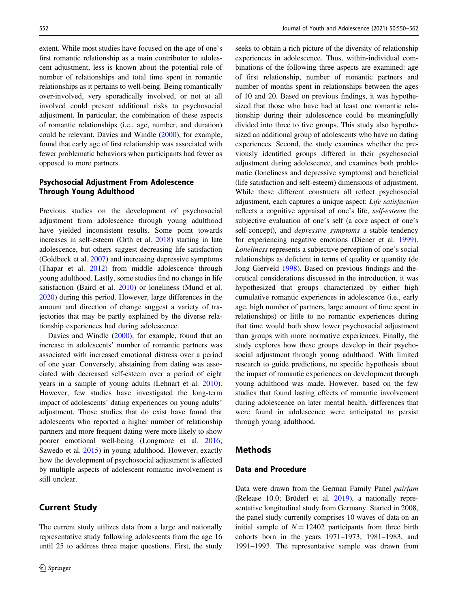extent. While most studies have focused on the age of one's first romantic relationship as a main contributor to adolescent adjustment, less is known about the potential role of number of relationships and total time spent in romantic relationships as it pertains to well-being. Being romantically over-involved, very sporadically involved, or not at all involved could present additional risks to psychosocial adjustment. In particular, the combination of these aspects of romantic relationships (i.e., age, number, and duration) could be relevant. Davies and Windle ([2000\)](#page-11-0), for example, found that early age of first relationship was associated with fewer problematic behaviors when participants had fewer as opposed to more partners.

# Psychosocial Adjustment From Adolescence Through Young Adulthood

Previous studies on the development of psychosocial adjustment from adolescence through young adulthood have yielded inconsistent results. Some point towards increases in self-esteem (Orth et al. [2018](#page-12-0)) starting in late adolescence, but others suggest decreasing life satisfaction (Goldbeck et al. [2007\)](#page-11-0) and increasing depressive symptoms (Thapar et al. [2012\)](#page-12-0) from middle adolescence through young adulthood. Lastly, some studies find no change in life satisfaction (Baird et al. [2010\)](#page-11-0) or loneliness (Mund et al. [2020\)](#page-12-0) during this period. However, large differences in the amount and direction of change suggest a variety of trajectories that may be partly explained by the diverse relationship experiences had during adolescence.

Davies and Windle ([2000\)](#page-11-0), for example, found that an increase in adolescents' number of romantic partners was associated with increased emotional distress over a period of one year. Conversely, abstaining from dating was associated with decreased self-esteem over a period of eight years in a sample of young adults (Lehnart et al. [2010](#page-11-0)). However, few studies have investigated the long-term impact of adolescents' dating experiences on young adults' adjustment. Those studies that do exist have found that adolescents who reported a higher number of relationship partners and more frequent dating were more likely to show poorer emotional well-being (Longmore et al. [2016](#page-11-0); Szwedo et al. [2015](#page-12-0)) in young adulthood. However, exactly how the development of psychosocial adjustment is affected by multiple aspects of adolescent romantic involvement is still unclear.

# Current Study

The current study utilizes data from a large and nationally representative study following adolescents from the age 16 until 25 to address three major questions. First, the study

seeks to obtain a rich picture of the diversity of relationship experiences in adolescence. Thus, within-individual combinations of the following three aspects are examined: age of first relationship, number of romantic partners and number of months spent in relationships between the ages of 10 and 20. Based on previous findings, it was hypothesized that those who have had at least one romantic relationship during their adolescence could be meaningfully divided into three to five groups. This study also hypothesized an additional group of adolescents who have no dating experiences. Second, the study examines whether the previously identified groups differed in their psychosocial adjustment during adolescence, and examines both problematic (loneliness and depressive symptoms) and beneficial (life satisfaction and self-esteem) dimensions of adjustment. While these different constructs all reflect psychosocial adjustment, each captures a unique aspect: Life satisfaction reflects a cognitive appraisal of one's life, self-esteem the subjective evaluation of one's self (a core aspect of one's self-concept), and *depressive symptoms* a stable tendency for experiencing negative emotions (Diener et al. [1999\)](#page-11-0). Loneliness represents a subjective perception of one's social relationships as deficient in terms of quality or quantity (de Jong Gierveld [1998\)](#page-11-0). Based on previous findings and theoretical considerations discussed in the introduction, it was hypothesized that groups characterized by either high cumulative romantic experiences in adolescence (i.e., early age, high number of partners, large amount of time spent in relationships) or little to no romantic experiences during that time would both show lower psychosocial adjustment than groups with more normative experiences. Finally, the study explores how these groups develop in their psychosocial adjustment through young adulthood. With limited research to guide predictions, no specific hypothesis about the impact of romantic experiences on development through young adulthood was made. However, based on the few studies that found lasting effects of romantic involvement during adolescence on later mental health, differences that were found in adolescence were anticipated to persist through young adulthood.

### Methods

# Data and Procedure

Data were drawn from the German Family Panel pairfam (Release 10.0; Brüderl et al. [2019\)](#page-11-0), a nationally representative longitudinal study from Germany. Started in 2008, the panel study currently comprises 10 waves of data on an initial sample of  $N = 12402$  participants from three birth cohorts born in the years 1971–1973, 1981–1983, and 1991–1993. The representative sample was drawn from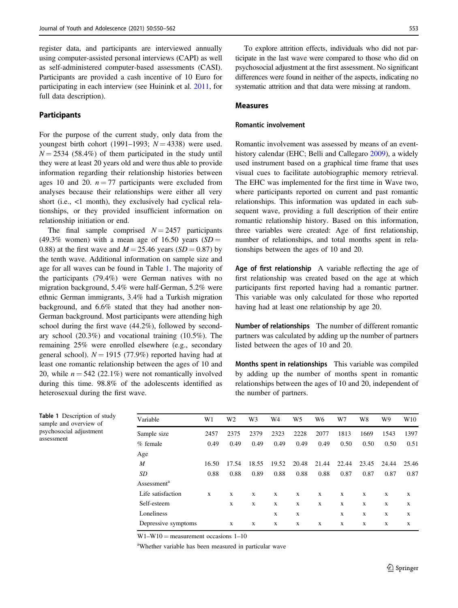<span id="page-3-0"></span>register data, and participants are interviewed annually using computer-assisted personal interviews (CAPI) as well as self-administered computer-based assessments (CASI). Participants are provided a cash incentive of 10 Euro for participating in each interview (see Huinink et al. [2011](#page-11-0), for full data description).

### **Participants**

For the purpose of the current study, only data from the youngest birth cohort (1991–1993;  $N = 4338$ ) were used.  $N = 2534$  (58.4%) of them participated in the study until they were at least 20 years old and were thus able to provide information regarding their relationship histories between ages 10 and 20.  $n = 77$  participants were excluded from analyses because their relationships were either all very short (i.e., <1 month), they exclusively had cyclical relationships, or they provided insufficient information on relationship initiation or end.

The final sample comprised  $N = 2457$  participants (49.3% women) with a mean age of 16.50 years  $(SD =$ 0.88) at the first wave and  $M = 25.46$  years (SD = 0.87) by the tenth wave. Additional information on sample size and age for all waves can be found in Table 1. The majority of the participants (79.4%) were German natives with no migration background, 5.4% were half-German, 5.2% were ethnic German immigrants, 3.4% had a Turkish migration background, and 6.6% stated that they had another non-German background. Most participants were attending high school during the first wave (44.2%), followed by secondary school (20.3%) and vocational training (10.5%). The remaining 25% were enrolled elsewhere (e.g., secondary general school).  $N = 1915$  (77.9%) reported having had at least one romantic relationship between the ages of 10 and 20, while  $n = 542$  (22.1%) were not romantically involved during this time. 98.8% of the adolescents identified as heterosexual during the first wave.

Table 1 Description of study sample and overview of psychosocial adjustment

assessment

To explore attrition effects, individuals who did not participate in the last wave were compared to those who did on psychosocial adjustment at the first assessment. No significant differences were found in neither of the aspects, indicating no systematic attrition and that data were missing at random.

# Measures

#### Romantic involvement

Romantic involvement was assessed by means of an eventhistory calendar (EHC; Belli and Callegaro [2009\)](#page-11-0), a widely used instrument based on a graphical time frame that uses visual cues to facilitate autobiographic memory retrieval. The EHC was implemented for the first time in Wave two, where participants reported on current and past romantic relationships. This information was updated in each subsequent wave, providing a full description of their entire romantic relationship history. Based on this information, three variables were created: Age of first relationship, number of relationships, and total months spent in relationships between the ages of 10 and 20.

Age of first relationship A variable reflecting the age of first relationship was created based on the age at which participants first reported having had a romantic partner. This variable was only calculated for those who reported having had at least one relationship by age 20.

Number of relationships The number of different romantic partners was calculated by adding up the number of partners listed between the ages of 10 and 20.

Months spent in relationships This variable was compiled by adding up the number of months spent in romantic relationships between the ages of 10 and 20, independent of the number of partners.

| Variable                | W1    | W <sub>2</sub> | W3    | W4    | W <sub>5</sub> | W <sub>6</sub> | W7    | W8    | W9    | W <sub>10</sub> |
|-------------------------|-------|----------------|-------|-------|----------------|----------------|-------|-------|-------|-----------------|
| Sample size             | 2457  | 2375           | 2379  | 2323  | 2228           | 2077           | 1813  | 1669  | 1543  | 1397            |
| $%$ female              | 0.49  | 0.49           | 0.49  | 0.49  | 0.49           | 0.49           | 0.50  | 0.50  | 0.50  | 0.51            |
| Age                     |       |                |       |       |                |                |       |       |       |                 |
| $\boldsymbol{M}$        | 16.50 | 17.54          | 18.55 | 19.52 | 20.48          | 21.44          | 22.44 | 23.45 | 24.44 | 25.46           |
| SD                      | 0.88  | 0.88           | 0.89  | 0.88  | 0.88           | 0.88           | 0.87  | 0.87  | 0.87  | 0.87            |
| Assessment <sup>a</sup> |       |                |       |       |                |                |       |       |       |                 |
| Life satisfaction       | X     | X              | X     | X     | X              | X              | X     | X     | X     | X               |
| Self-esteem             |       | X              | X     | X     | X              | X              | X     | X     | X     | X               |
| Loneliness              |       |                |       | X     | X              |                | X     | X     | X     | X               |
| Depressive symptoms     |       | X              | X     | X     | X              | X              | X     | X     | X     | X               |

 $W1-W10$  = measurement occasions 1–10

<sup>a</sup>Whether variable has been measured in particular wave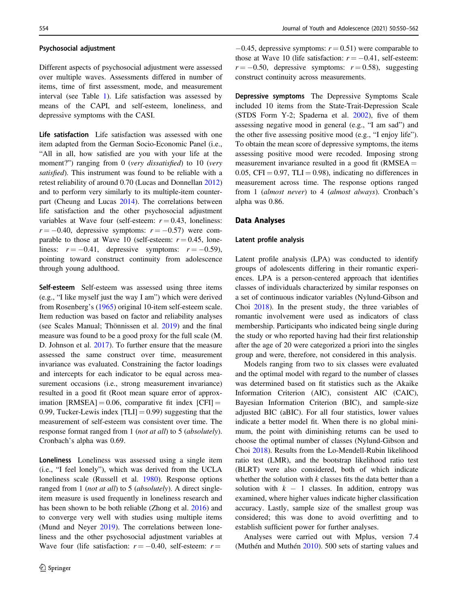#### Psychosocial adjustment

Different aspects of psychosocial adjustment were assessed over multiple waves. Assessments differed in number of items, time of first assessment, mode, and measurement interval (see Table [1](#page-3-0)). Life satisfaction was assessed by means of the CAPI, and self-esteem, loneliness, and depressive symptoms with the CASI.

Life satisfaction Life satisfaction was assessed with one item adapted from the German Socio-Economic Panel (i.e., "All in all, how satisfied are you with your life at the moment?") ranging from 0 (very dissatisfied) to 10 (very satisfied). This instrument was found to be reliable with a retest reliability of around 0.70 (Lucas and Donnellan [2012\)](#page-11-0) and to perform very similarly to its multiple-item counterpart (Cheung and Lucas [2014\)](#page-11-0). The correlations between life satisfaction and the other psychosocial adjustment variables at Wave four (self-esteem:  $r = 0.43$ , loneliness:  $r = -0.40$ , depressive symptoms:  $r = -0.57$ ) were comparable to those at Wave 10 (self-esteem:  $r = 0.45$ , loneliness:  $r = -0.41$ , depressive symptoms:  $r = -0.59$ ), pointing toward construct continuity from adolescence through young adulthood.

Self-esteem Self-esteem was assessed using three items (e.g., "I like myself just the way I am") which were derived from Rosenberg's ([1965\)](#page-12-0) original 10-item self-esteem scale. Item reduction was based on factor and reliability analyses (see Scales Manual; Thönnissen et al. [2019](#page-12-0)) and the final measure was found to be a good proxy for the full scale (M. D. Johnson et al. [2017](#page-11-0)). To further ensure that the measure assessed the same construct over time, measurement invariance was evaluated. Constraining the factor loadings and intercepts for each indicator to be equal across measurement occasions (i.e., strong measurement invariance) resulted in a good fit (Root mean square error of approximation  $[RMSEA] = 0.06$ , comparative fit index  $[CFI] =$ 0.99, Tucker-Lewis index  $[TLI] = 0.99$  suggesting that the measurement of self-esteem was consistent over time. The response format ranged from 1 (not at all) to 5 (absolutely). Cronbach's alpha was 0.69.

Loneliness Loneliness was assessed using a single item (i.e., "I feel lonely"), which was derived from the UCLA loneliness scale (Russell et al. [1980\)](#page-12-0). Response options ranged from 1 (*not at all*) to 5 (*absolutely*). A direct singleitem measure is used frequently in loneliness research and has been shown to be both reliable (Zhong et al. [2016\)](#page-12-0) and to converge very well with studies using multiple items (Mund and Neyer [2019](#page-12-0)). The correlations between loneliness and the other psychosocial adjustment variables at Wave four (life satisfaction:  $r = -0.40$ , self-esteem:  $r =$ 

 $-0.45$ , depressive symptoms:  $r = 0.51$ ) were comparable to those at Wave 10 (life satisfaction:  $r = -0.41$ , self-esteem:  $r = -0.50$ , depressive symptoms:  $r = 0.58$ ), suggesting construct continuity across measurements.

Depressive symptoms The Depressive Symptoms Scale included 10 items from the State-Trait-Depression Scale (STDS Form Y-2; Spaderna et al. [2002](#page-12-0)), five of them assessing negative mood in general (e.g., "I am sad") and the other five assessing positive mood (e.g., "I enjoy life"). To obtain the mean score of depressive symptoms, the items assessing positive mood were recoded. Imposing strong measurement invariance resulted in a good fit (RMSEA = 0.05, CFI =  $0.97$ , TLI = 0.98), indicating no differences in measurement across time. The response options ranged from 1 (almost never) to 4 (almost always). Cronbach's alpha was 0.86.

#### Data Analyses

#### Latent profile analysis

Latent profile analysis (LPA) was conducted to identify groups of adolescents differing in their romantic experiences. LPA is a person-centered approach that identifies classes of individuals characterized by similar responses on a set of continuous indicator variables (Nylund-Gibson and Choi [2018](#page-12-0)). In the present study, the three variables of romantic involvement were used as indicators of class membership. Participants who indicated being single during the study or who reported having had their first relationship after the age of 20 were categorized a priori into the singles group and were, therefore, not considered in this analysis.

Models ranging from two to six classes were evaluated and the optimal model with regard to the number of classes was determined based on fit statistics such as the Akaike Information Criterion (AIC), consistent AIC (CAIC), Bayesian Information Criterion (BIC), and sample-size adjusted BIC (aBIC). For all four statistics, lower values indicate a better model fit. When there is no global minimum, the point with diminishing returns can be used to choose the optimal number of classes (Nylund-Gibson and Choi [2018](#page-12-0)). Results from the Lo-Mendell-Rubin likelihood ratio test (LMR), and the bootstrap likelihood ratio test (BLRT) were also considered, both of which indicate whether the solution with  $k$  classes fits the data better than a solution with  $k - 1$  classes. In addition, entropy was examined, where higher values indicate higher classification accuracy. Lastly, sample size of the smallest group was considered; this was done to avoid overfitting and to establish sufficient power for further analyses.

Analyses were carried out with Mplus, version 7.4 (Muthén and Muthén [2010](#page-12-0)). 500 sets of starting values and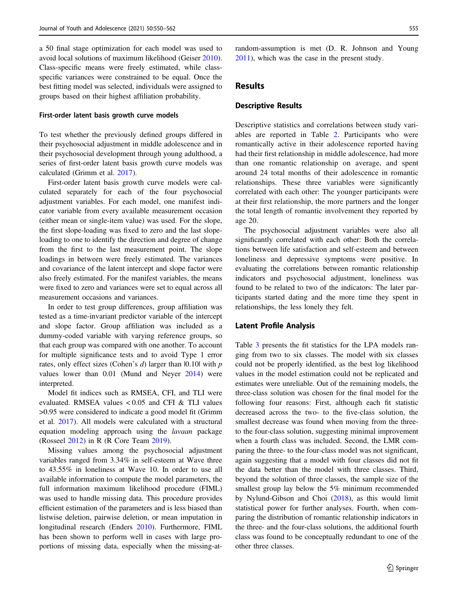a 50 final stage optimization for each model was used to avoid local solutions of maximum likelihood (Geiser [2010](#page-11-0)). Class-specific means were freely estimated, while classspecific variances were constrained to be equal. Once the best fitting model was selected, individuals were assigned to groups based on their highest affiliation probability.

#### First-order latent basis growth curve models

To test whether the previously defined groups differed in their psychosocial adjustment in middle adolescence and in their psychosocial development through young adulthood, a series of first-order latent basis growth curve models was calculated (Grimm et al. [2017\)](#page-11-0).

First-order latent basis growth curve models were calculated separately for each of the four psychosocial adjustment variables. For each model, one manifest indicator variable from every available measurement occasion (either mean or single-item value) was used. For the slope, the first slope-loading was fixed to zero and the last slopeloading to one to identify the direction and degree of change from the first to the last measurement point. The slope loadings in between were freely estimated. The variances and covariance of the latent intercept and slope factor were also freely estimated. For the manifest variables, the means were fixed to zero and variances were set to equal across all measurement occasions and variances.

In order to test group differences, group affiliation was tested as a time-invariant predictor variable of the intercept and slope factor. Group affiliation was included as a dummy-coded variable with varying reference groups, so that each group was compared with one another. To account for multiple significance tests and to avoid Type 1 error rates, only effect sizes (Cohen's  $d$ ) larger than  $|0.10|$  with  $p$ values lower than 0.01 (Mund and Neyer [2014\)](#page-12-0) were interpreted.

Model fit indices such as RMSEA, CFI, and TLI were evaluated. RMSEA values < 0.05 and CFI & TLI values >0.95 were considered to indicate a good model fit (Grimm et al. [2017\)](#page-11-0). All models were calculated with a structural equation modeling approach using the lavaan package (Rosseel [2012](#page-12-0)) in R (R Core Team [2019](#page-12-0)).

Missing values among the psychosocial adjustment variables ranged from 3.34% in self-esteem at Wave three to 43.55% in loneliness at Wave 10. In order to use all available information to compute the model parameters, the full information maximum likelihood procedure (FIML) was used to handle missing data. This procedure provides efficient estimation of the parameters and is less biased than listwise deletion, pairwise deletion, or mean imputation in longitudinal research (Enders [2010\)](#page-11-0). Furthermore, FIML has been shown to perform well in cases with large proportions of missing data, especially when the missing-atrandom-assumption is met (D. R. Johnson and Young [2011](#page-11-0)), which was the case in the present study.

# Results

# Descriptive Results

Descriptive statistics and correlations between study variables are reported in Table [2.](#page-6-0) Participants who were romantically active in their adolescence reported having had their first relationship in middle adolescence, had more than one romantic relationship on average, and spent around 24 total months of their adolescence in romantic relationships. These three variables were significantly correlated with each other: The younger participants were at their first relationship, the more partners and the longer the total length of romantic involvement they reported by age 20.

The psychosocial adjustment variables were also all significantly correlated with each other: Both the correlations between life satisfaction and self-esteem and between loneliness and depressive symptoms were positive. In evaluating the correlations between romantic relationship indicators and psychosocial adjustment, loneliness was found to be related to two of the indicators: The later participants started dating and the more time they spent in relationships, the less lonely they felt.

## Latent Profile Analysis

Table [3](#page-6-0) presents the fit statistics for the LPA models ranging from two to six classes. The model with six classes could not be properly identified, as the best log likelihood values in the model estimation could not be replicated and estimates were unreliable. Out of the remaining models, the three-class solution was chosen for the final model for the following four reasons: First, although each fit statistic decreased across the two- to the five-class solution, the smallest decrease was found when moving from the threeto the four-class solution, suggesting minimal improvement when a fourth class was included. Second, the LMR comparing the three- to the four-class model was not significant, again suggesting that a model with four classes did not fit the data better than the model with three classes. Third, beyond the solution of three classes, the sample size of the smallest group lay below the 5% minimum recommended by Nylund-Gibson and Choi ([2018\)](#page-12-0), as this would limit statistical power for further analyses. Fourth, when comparing the distribution of romantic relationship indicators in the three- and the four-class solutions, the additional fourth class was found to be conceptually redundant to one of the other three classes.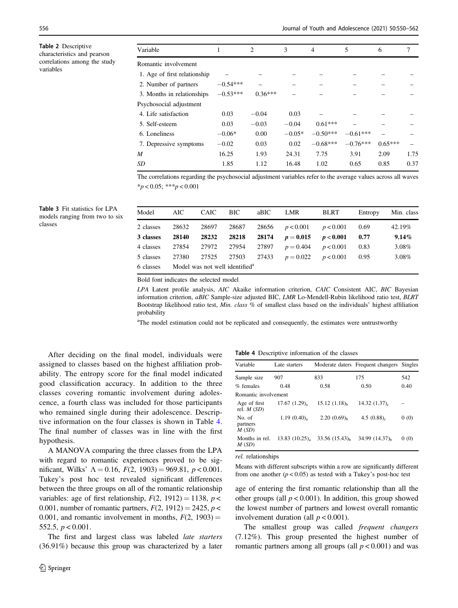<span id="page-6-0"></span>Table 2 Descriptive characteristics and pearson correlations among the study variables

| Variable                     |            | $\overline{2}$ | 3        | $\overline{4}$ | 5          | 6         | 7    |
|------------------------------|------------|----------------|----------|----------------|------------|-----------|------|
| Romantic involvement         |            |                |          |                |            |           |      |
| 1. Age of first relationship |            |                |          |                |            |           |      |
| 2. Number of partners        | $-0.54***$ |                |          |                |            |           |      |
| 3. Months in relationships   | $-0.53***$ | $0.36***$      |          |                |            |           |      |
| Psychosocial adjustment      |            |                |          |                |            |           |      |
| 4. Life satisfaction         | 0.03       | $-0.04$        | 0.03     |                |            |           |      |
| 5. Self-esteem               | 0.03       | $-0.03$        | $-0.04$  | $0.61***$      |            |           |      |
| 6. Loneliness                | $-0.06*$   | 0.00           | $-0.05*$ | $-0.50***$     | $-0.61***$ |           |      |
| 7. Depressive symptoms       | $-0.02$    | 0.03           | 0.02     | $-0.68***$     | $-0.76***$ | $0.65***$ |      |
| M                            | 16.25      | 1.93           | 24.31    | 7.75           | 3.91       | 2.09      | 1.75 |
| SD                           | 1.85       | 1.12           | 16.48    | 1.02           | 0.65       | 0.85      | 0.37 |

The correlations regarding the psychosocial adjustment variables refer to the average values across all waves  $*_{p}$  < 0.05; \*\*\*p < 0.001

| Model     | AIC.  | <b>CAIC</b>                                | BIC.  | aBIC  | LMR         | BLRT      | Entropy | Min. class |
|-----------|-------|--------------------------------------------|-------|-------|-------------|-----------|---------|------------|
| 2 classes | 28632 | 28697                                      | 28687 | 28656 | p < 0.001   | p < 0.001 | 0.69    | 42.19%     |
| 3 classes | 28140 | 28232                                      | 28218 | 28174 | $p = 0.015$ | p < 0.001 | 0.77    | $9.14\%$   |
| 4 classes | 27854 | 27972                                      | 27954 | 27897 | $p = 0.404$ | p < 0.001 | 0.83    | 3.08%      |
| 5 classes | 27380 | 27525                                      | 27503 | 27433 | $p = 0.022$ | p < 0.001 | 0.95    | 3.08%      |
| 6 classes |       | Model was not well identified <sup>a</sup> |       |       |             |           |         |            |

Bold font indicates the selected model

LPA Latent profile analysis, AIC Akaike information criterion, CAIC Consistent AIC, BIC Bayesian information criterion, aBIC Sample-size adjusted BIC, LMR Lo-Mendell-Rubin likelihood ratio test, BLRT Bootstrap likelihood ratio test, Min. class % of smallest class based on the individuals' highest affiliation probability

<sup>a</sup>The model estimation could not be replicated and consequently, the estimates were untrustworthy

After deciding on the final model, individuals were assigned to classes based on the highest affiliation probability. The entropy score for the final model indicated good classification accuracy. In addition to the three classes covering romantic involvement during adolescence, a fourth class was included for those participants who remained single during their adolescence. Descriptive information on the four classes is shown in Table 4. The final number of classes was in line with the first hypothesis.

A MANOVA comparing the three classes from the LPA with regard to romantic experiences proved to be significant, Wilks'  $\Lambda = 0.16$ ,  $F(2, 1903) = 969.81$ ,  $p < 0.001$ . Tukey's post hoc test revealed significant differences between the three groups on all of the romantic relationship variables: age of first relationship,  $F(2, 1912) = 1138$ ,  $p <$ 0.001, number of romantic partners,  $F(2, 1912) = 2425$ ,  $p <$ 0.001, and romantic involvement in months,  $F(2, 1903) =$ 552.5,  $p < 0.001$ .

The first and largest class was labeled late starters (36.91%) because this group was characterized by a later

Table 4 Descriptive information of the classes

| Variable                     | Late starters     |                   | Moderate daters Frequent changers | Singles |
|------------------------------|-------------------|-------------------|-----------------------------------|---------|
| Sample size                  | 907               | 833               | 175                               | 542     |
| $%$ females                  | 0.48              | 0.58              | 0.50                              | 0.40    |
| Romantic involvement         |                   |                   |                                   |         |
| Age of first<br>rel. $M(SD)$ | $17.67(1.29)_{a}$ | $15.12(1.18)_{h}$ | $14.32(1.37)$ <sub>c</sub>        |         |
| No. of<br>partners<br>M(SD)  | 1.19(0.40)        | $2.20(0.69)_{h}$  | 4.5 $(0.88)$                      | 0(0)    |
| Months in rel.<br>M(SD)      | 13.83(10.25)      | 33.56(15.43)      | $34.99(14.37)_{h}$                | 0(0)    |

rel. relationships

Means with different subscripts within a row are significantly different from one another  $(p < 0.05)$  as tested with a Tukey's post-hoc test

age of entering the first romantic relationship than all the other groups (all  $p < 0.001$ ). In addition, this group showed the lowest number of partners and lowest overall romantic involvement duration (all  $p < 0.001$ ).

The smallest group was called *frequent changers* (7.12%). This group presented the highest number of romantic partners among all groups (all  $p < 0.001$ ) and was

Table 3 Fit statistics for LPA models ranging from two to six classes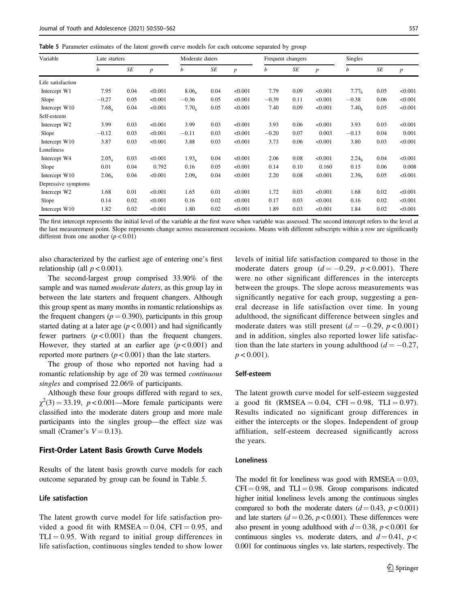Table 5 Parameter estimates of the latent growth curve models for each outcome separated by group

| Variable            | Late starters |           |                  | Moderate daters |           |                  | Frequent changers |      |                  | <b>Singles</b>    |           |                  |
|---------------------|---------------|-----------|------------------|-----------------|-----------|------------------|-------------------|------|------------------|-------------------|-----------|------------------|
|                     | b             | <b>SE</b> | $\boldsymbol{p}$ | b               | <b>SE</b> | $\boldsymbol{p}$ | b                 | SE   | $\boldsymbol{p}$ | b                 | <b>SE</b> | $\boldsymbol{p}$ |
| Life satisfaction   |               |           |                  |                 |           |                  |                   |      |                  |                   |           |                  |
| Intercept W1        | 7.95          | 0.04      | < 0.001          | $8.06_a$        | 0.04      | < 0.001          | 7.79              | 0.09 | < 0.001          | 7.77 <sub>h</sub> | 0.05      | < 0.001          |
| Slope               | $-0.27$       | 0.05      | < 0.001          | $-0.36$         | 0.05      | < 0.001          | $-0.39$           | 0.11 | < 0.001          | $-0.38$           | 0.06      | < 0.001          |
| Intercept W10       | $7.68_a$      | 0.04      | < 0.001          | $7.70_a$        | 0.05      | < 0.001          | 7.40              | 0.09 | < 0.001          | 7.40 <sub>b</sub> | 0.05      | < 0.001          |
| Self-esteem         |               |           |                  |                 |           |                  |                   |      |                  |                   |           |                  |
| Intercept W2        | 3.99          | 0.03      | < 0.001          | 3.99            | 0.03      | < 0.001          | 3.93              | 0.06 | < 0.001          | 3.93              | 0.03      | < 0.001          |
| Slope               | $-0.12$       | 0.03      | < 0.001          | $-0.11$         | 0.03      | < 0.001          | $-0.20$           | 0.07 | 0.003            | $-0.13$           | 0.04      | 0.001            |
| Intercept W10       | 3.87          | 0.03      | < 0.001          | 3.88            | 0.03      | < 0.001          | 3.73              | 0.06 | < 0.001          | 3.80              | 0.03      | < 0.001          |
| Loneliness          |               |           |                  |                 |           |                  |                   |      |                  |                   |           |                  |
| Intercept W4        | $2.05_a$      | 0.03      | < 0.001          | $1.93_a$        | 0.04      | < 0.001          | 2.06              | 0.08 | < 0.001          | 2.24 <sub>h</sub> | 0.04      | < 0.001          |
| Slope               | 0.01          | 0.04      | 0.792            | 0.16            | 0.05      | < 0.001          | 0.14              | 0.10 | 0.160            | 0.15              | 0.06      | 0.008            |
| Intercept W10       | $2.06_a$      | 0.04      | < 0.001          | $2.09_a$        | 0.04      | < 0.001          | 2.20              | 0.08 | < 0.001          | 2.39 <sub>b</sub> | 0.05      | < 0.001          |
| Depressive symptoms |               |           |                  |                 |           |                  |                   |      |                  |                   |           |                  |
| Intercept W2        | 1.68          | 0.01      | < 0.001          | 1.65            | 0.01      | < 0.001          | 1.72              | 0.03 | < 0.001          | 1.68              | 0.02      | < 0.001          |
| Slope               | 0.14          | 0.02      | < 0.001          | 0.16            | 0.02      | < 0.001          | 0.17              | 0.03 | < 0.001          | 0.16              | 0.02      | < 0.001          |
| Intercept W10       | 1.82          | 0.02      | < 0.001          | 1.80            | 0.02      | < 0.001          | 1.89              | 0.03 | < 0.001          | 1.84              | 0.02      | < 0.001          |

The first intercept represents the initial level of the variable at the first wave when variable was assessed. The second intercept refers to the level at the last measurement point. Slope represents change across measurement occasions. Means with different subscripts within a row are significantly different from one another  $(p < 0.01)$ 

also characterized by the earliest age of entering one's first relationship (all  $p < 0.001$ ).

The second-largest group comprised 33.90% of the sample and was named *moderate daters*, as this group lay in between the late starters and frequent changers. Although this group spent as many months in romantic relationships as the frequent changers ( $p = 0.390$ ), participants in this group started dating at a later age  $(p < 0.001)$  and had significantly fewer partners  $(p < 0.001)$  than the frequent changers. However, they started at an earlier age  $(p < 0.001)$  and reported more partners ( $p < 0.001$ ) than the late starters.

The group of those who reported not having had a romantic relationship by age of 20 was termed continuous singles and comprised 22.06% of participants.

Although these four groups differed with regard to sex,  $\chi^2(3) = 33.19$ ,  $p < 0.001$ —More female participants were classified into the moderate daters group and more male participants into the singles group—the effect size was small (Cramer's  $V = 0.13$ ).

# First-Order Latent Basis Growth Curve Models

Results of the latent basis growth curve models for each outcome separated by group can be found in Table 5.

#### Life satisfaction

The latent growth curve model for life satisfaction provided a good fit with  $RMSEA = 0.04$ ,  $CFI = 0.95$ , and  $TLI = 0.95$ . With regard to initial group differences in life satisfaction, continuous singles tended to show lower levels of initial life satisfaction compared to those in the moderate daters group  $(d = -0.29, p < 0.001)$ . There were no other significant differences in the intercepts between the groups. The slope across measurements was significantly negative for each group, suggesting a general decrease in life satisfaction over time. In young adulthood, the significant difference between singles and moderate daters was still present  $(d = -0.29, p < 0.001)$ and in addition, singles also reported lower life satisfaction than the late starters in young adulthood ( $d = -0.27$ ,  $p < 0.001$ ).

#### Self-esteem

The latent growth curve model for self-esteem suggested a good fit  $(RMSEA = 0.04, CFI = 0.98, TLI = 0.97)$ . Results indicated no significant group differences in either the intercepts or the slopes. Independent of group affiliation, self-esteem decreased significantly across the years.

#### Loneliness

The model fit for loneliness was good with  $RMSEA = 0.03$ ,  $CFI = 0.98$ , and  $TLI = 0.98$ . Group comparisons indicated higher initial loneliness levels among the continuous singles compared to both the moderate daters  $(d = 0.43, p < 0.001)$ and late starters  $(d = 0.26, p < 0.001)$ . These differences were also present in young adulthood with  $d = 0.38$ ,  $p < 0.001$  for continuous singles vs. moderate daters, and  $d = 0.41$ ,  $p <$ 0.001 for continuous singles vs. late starters, respectively. The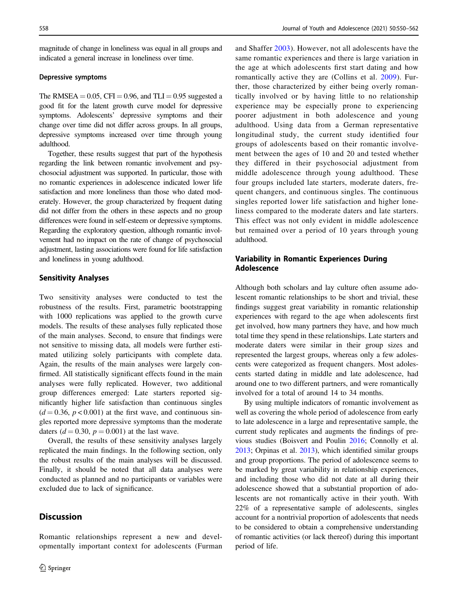magnitude of change in loneliness was equal in all groups and indicated a general increase in loneliness over time.

#### Depressive symptoms

The RMSEA =  $0.05$ , CFI = 0.96, and TLI = 0.95 suggested a good fit for the latent growth curve model for depressive symptoms. Adolescents' depressive symptoms and their change over time did not differ across groups. In all groups, depressive symptoms increased over time through young adulthood.

Together, these results suggest that part of the hypothesis regarding the link between romantic involvement and psychosocial adjustment was supported. In particular, those with no romantic experiences in adolescence indicated lower life satisfaction and more loneliness than those who dated moderately. However, the group characterized by frequent dating did not differ from the others in these aspects and no group differences were found in self-esteem or depressive symptoms. Regarding the exploratory question, although romantic involvement had no impact on the rate of change of psychosocial adjustment, lasting associations were found for life satisfaction and loneliness in young adulthood.

## Sensitivity Analyses

Two sensitivity analyses were conducted to test the robustness of the results. First, parametric bootstrapping with 1000 replications was applied to the growth curve models. The results of these analyses fully replicated those of the main analyses. Second, to ensure that findings were not sensitive to missing data, all models were further estimated utilizing solely participants with complete data. Again, the results of the main analyses were largely confirmed. All statistically significant effects found in the main analyses were fully replicated. However, two additional group differences emerged: Late starters reported significantly higher life satisfaction than continuous singles  $(d = 0.36, p < 0.001)$  at the first wave, and continuous singles reported more depressive symptoms than the moderate daters  $(d = 0.30, p = 0.001)$  at the last wave.

Overall, the results of these sensitivity analyses largely replicated the main findings. In the following section, only the robust results of the main analyses will be discussed. Finally, it should be noted that all data analyses were conducted as planned and no participants or variables were excluded due to lack of significance.

# **Discussion**

Romantic relationships represent a new and developmentally important context for adolescents (Furman and Shaffer [2003\)](#page-11-0). However, not all adolescents have the same romantic experiences and there is large variation in the age at which adolescents first start dating and how romantically active they are (Collins et al. [2009](#page-11-0)). Further, those characterized by either being overly romantically involved or by having little to no relationship experience may be especially prone to experiencing poorer adjustment in both adolescence and young adulthood. Using data from a German representative longitudinal study, the current study identified four groups of adolescents based on their romantic involvement between the ages of 10 and 20 and tested whether they differed in their psychosocial adjustment from middle adolescence through young adulthood. These four groups included late starters, moderate daters, frequent changers, and continuous singles. The continuous singles reported lower life satisfaction and higher loneliness compared to the moderate daters and late starters. This effect was not only evident in middle adolescence but remained over a period of 10 years through young adulthood.

# Variability in Romantic Experiences During Adolescence

Although both scholars and lay culture often assume adolescent romantic relationships to be short and trivial, these findings suggest great variability in romantic relationship experiences with regard to the age when adolescents first get involved, how many partners they have, and how much total time they spend in these relationships. Late starters and moderate daters were similar in their group sizes and represented the largest groups, whereas only a few adolescents were categorized as frequent changers. Most adolescents started dating in middle and late adolescence, had around one to two different partners, and were romantically involved for a total of around 14 to 34 months.

By using multiple indicators of romantic involvement as well as covering the whole period of adolescence from early to late adolescence in a large and representative sample, the current study replicates and augments the findings of previous studies (Boisvert and Poulin [2016](#page-11-0); Connolly et al. [2013](#page-11-0); Orpinas et al. [2013\)](#page-12-0), which identified similar groups and group proportions. The period of adolescence seems to be marked by great variability in relationship experiences, and including those who did not date at all during their adolescence showed that a substantial proportion of adolescents are not romantically active in their youth. With 22% of a representative sample of adolescents, singles account for a nontrivial proportion of adolescents that needs to be considered to obtain a comprehensive understanding of romantic activities (or lack thereof) during this important period of life.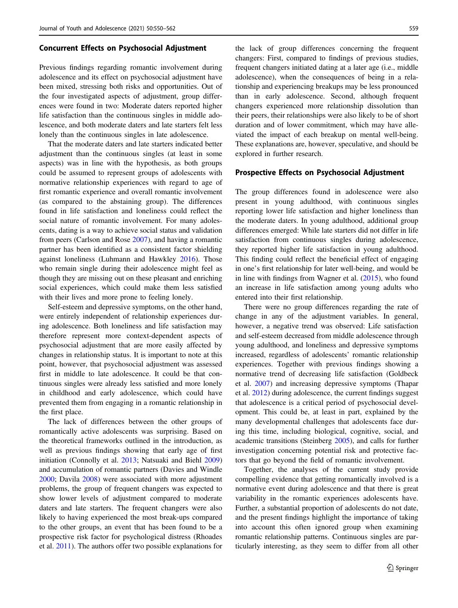#### Concurrent Effects on Psychosocial Adjustment

Previous findings regarding romantic involvement during adolescence and its effect on psychosocial adjustment have been mixed, stressing both risks and opportunities. Out of the four investigated aspects of adjustment, group differences were found in two: Moderate daters reported higher life satisfaction than the continuous singles in middle adolescence, and both moderate daters and late starters felt less lonely than the continuous singles in late adolescence.

That the moderate daters and late starters indicated better adjustment than the continuous singles (at least in some aspects) was in line with the hypothesis, as both groups could be assumed to represent groups of adolescents with normative relationship experiences with regard to age of first romantic experience and overall romantic involvement (as compared to the abstaining group). The differences found in life satisfaction and loneliness could reflect the social nature of romantic involvement. For many adolescents, dating is a way to achieve social status and validation from peers (Carlson and Rose [2007](#page-11-0)), and having a romantic partner has been identified as a consistent factor shielding against loneliness (Luhmann and Hawkley [2016](#page-11-0)). Those who remain single during their adolescence might feel as though they are missing out on these pleasant and enriching social experiences, which could make them less satisfied with their lives and more prone to feeling lonely.

Self-esteem and depressive symptoms, on the other hand, were entirely independent of relationship experiences during adolescence. Both loneliness and life satisfaction may therefore represent more context-dependent aspects of psychosocial adjustment that are more easily affected by changes in relationship status. It is important to note at this point, however, that psychosocial adjustment was assessed first in middle to late adolescence. It could be that continuous singles were already less satisfied and more lonely in childhood and early adolescence, which could have prevented them from engaging in a romantic relationship in the first place.

The lack of differences between the other groups of romantically active adolescents was surprising. Based on the theoretical frameworks outlined in the introduction, as well as previous findings showing that early age of first initiation (Connolly et al. [2013;](#page-11-0) Natsuaki and Biehl [2009\)](#page-12-0) and accumulation of romantic partners (Davies and Windle [2000;](#page-11-0) Davila [2008](#page-11-0)) were associated with more adjustment problems, the group of frequent changers was expected to show lower levels of adjustment compared to moderate daters and late starters. The frequent changers were also likely to having experienced the most break-ups compared to the other groups, an event that has been found to be a prospective risk factor for psychological distress (Rhoades et al. [2011\)](#page-12-0). The authors offer two possible explanations for

the lack of group differences concerning the frequent changers: First, compared to findings of previous studies, frequent changers initiated dating at a later age (i.e., middle adolescence), when the consequences of being in a relationship and experiencing breakups may be less pronounced than in early adolescence. Second, although frequent changers experienced more relationship dissolution than their peers, their relationships were also likely to be of short duration and of lower commitment, which may have alleviated the impact of each breakup on mental well-being. These explanations are, however, speculative, and should be explored in further research.

# Prospective Effects on Psychosocial Adjustment

The group differences found in adolescence were also present in young adulthood, with continuous singles reporting lower life satisfaction and higher loneliness than the moderate daters. In young adulthood, additional group differences emerged: While late starters did not differ in life satisfaction from continuous singles during adolescence, they reported higher life satisfaction in young adulthood. This finding could reflect the beneficial effect of engaging in one's first relationship for later well-being, and would be in line with findings from Wagner et al. [\(2015](#page-12-0)), who found an increase in life satisfaction among young adults who entered into their first relationship.

There were no group differences regarding the rate of change in any of the adjustment variables. In general, however, a negative trend was observed: Life satisfaction and self-esteem decreased from middle adolescence through young adulthood, and loneliness and depressive symptoms increased, regardless of adolescents' romantic relationship experiences. Together with previous findings showing a normative trend of decreasing life satisfaction (Goldbeck et al. [2007](#page-11-0)) and increasing depressive symptoms (Thapar et al. [2012\)](#page-12-0) during adolescence, the current findings suggest that adolescence is a critical period of psychosocial development. This could be, at least in part, explained by the many developmental challenges that adolescents face during this time, including biological, cognitive, social, and academic transitions (Steinberg [2005](#page-12-0)), and calls for further investigation concerning potential risk and protective factors that go beyond the field of romantic involvement.

Together, the analyses of the current study provide compelling evidence that getting romantically involved is a normative event during adolescence and that there is great variability in the romantic experiences adolescents have. Further, a substantial proportion of adolescents do not date, and the present findings highlight the importance of taking into account this often ignored group when examining romantic relationship patterns. Continuous singles are particularly interesting, as they seem to differ from all other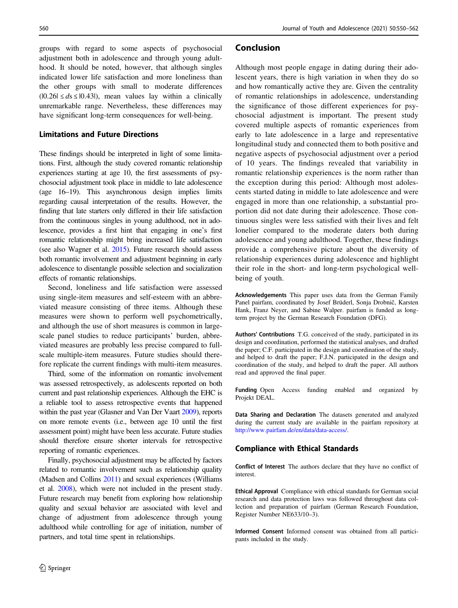560 Journal of Youth and Adolescence (2021) 50:550–562

groups with regard to some aspects of psychosocial adjustment both in adolescence and through young adulthood. It should be noted, however, that although singles indicated lower life satisfaction and more loneliness than the other groups with small to moderate differences  $(10.26) \le ds \le 10.431$ , mean values lay within a clinically unremarkable range. Nevertheless, these differences may have significant long-term consequences for well-being.

# Limitations and Future Directions

These findings should be interpreted in light of some limitations. First, although the study covered romantic relationship experiences starting at age 10, the first assessments of psychosocial adjustment took place in middle to late adolescence (age 16–19). This asynchronous design implies limits regarding causal interpretation of the results. However, the finding that late starters only differed in their life satisfaction from the continuous singles in young adulthood, not in adolescence, provides a first hint that engaging in one's first romantic relationship might bring increased life satisfaction (see also Wagner et al. [2015\)](#page-12-0). Future research should assess both romantic involvement and adjustment beginning in early adolescence to disentangle possible selection and socialization effects of romantic relationships.

Second, loneliness and life satisfaction were assessed using single-item measures and self-esteem with an abbreviated measure consisting of three items. Although these measures were shown to perform well psychometrically, and although the use of short measures is common in largescale panel studies to reduce participants' burden, abbreviated measures are probably less precise compared to fullscale multiple-item measures. Future studies should therefore replicate the current findings with multi-item measures.

Third, some of the information on romantic involvement was assessed retrospectively, as adolescents reported on both current and past relationship experiences. Although the EHC is a reliable tool to assess retrospective events that happened within the past year (Glasner and Van Der Vaart [2009](#page-11-0)), reports on more remote events (i.e., between age 10 until the first assessment point) might have been less accurate. Future studies should therefore ensure shorter intervals for retrospective reporting of romantic experiences.

Finally, psychosocial adjustment may be affected by factors related to romantic involvement such as relationship quality (Madsen and Collins [2011\)](#page-12-0) and sexual experiences (Williams et al. [2008](#page-12-0)), which were not included in the present study. Future research may benefit from exploring how relationship quality and sexual behavior are associated with level and change of adjustment from adolescence through young adulthood while controlling for age of initiation, number of partners, and total time spent in relationships.

### Conclusion

Although most people engage in dating during their adolescent years, there is high variation in when they do so and how romantically active they are. Given the centrality of romantic relationships in adolescence, understanding the significance of those different experiences for psychosocial adjustment is important. The present study covered multiple aspects of romantic experiences from early to late adolescence in a large and representative longitudinal study and connected them to both positive and negative aspects of psychosocial adjustment over a period of 10 years. The findings revealed that variability in romantic relationship experiences is the norm rather than the exception during this period: Although most adolescents started dating in middle to late adolescence and were engaged in more than one relationship, a substantial proportion did not date during their adolescence. Those continuous singles were less satisfied with their lives and felt lonelier compared to the moderate daters both during adolescence and young adulthood. Together, these findings provide a comprehensive picture about the diversity of relationship experiences during adolescence and highlight their role in the short- and long-term psychological wellbeing of youth.

Acknowledgements This paper uses data from the German Family Panel pairfam, coordinated by Josef Brüderl, Sonja Drobnič, Karsten Hank, Franz Neyer, and Sabine Walper. pairfam is funded as longterm project by the German Research Foundation (DFG).

Authors' Contributions T.G. conceived of the study, participated in its design and coordination, performed the statistical analyses, and drafted the paper; C.F. participated in the design and coordination of the study, and helped to draft the paper; F.J.N. participated in the design and coordination of the study, and helped to draft the paper. All authors read and approved the final paper.

Funding Open Access funding enabled and organized by Projekt DEAL.

Data Sharing and Declaration The datasets generated and analyzed during the current study are available in the pairfam repository at [http://www.pairfam.de/en/data/data-access/.](http://www.pairfam.de/en/data/data-access/)

### Compliance with Ethical Standards

Conflict of Interest The authors declare that they have no conflict of interest.

Ethical Approval Compliance with ethical standards for German social research and data protection laws was followed throughout data collection and preparation of pairfam (German Research Foundation, Register Number NE633/10–3).

Informed Consent Informed consent was obtained from all participants included in the study.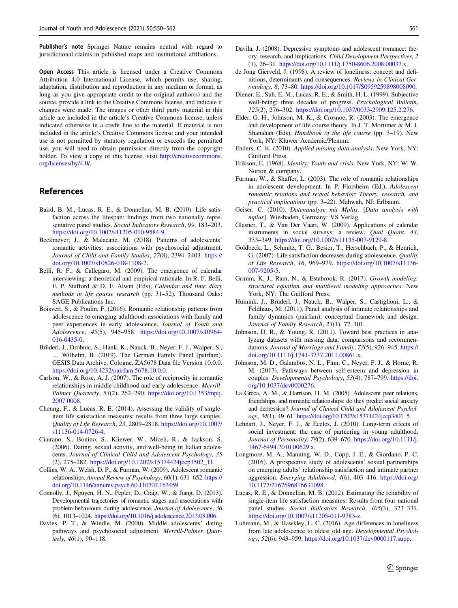<span id="page-11-0"></span>Publisher's note Springer Nature remains neutral with regard to jurisdictional claims in published maps and institutional affiliations.

Open Access This article is licensed under a Creative Commons Attribution 4.0 International License, which permits use, sharing, adaptation, distribution and reproduction in any medium or format, as long as you give appropriate credit to the original author(s) and the source, provide a link to the Creative Commons license, and indicate if changes were made. The images or other third party material in this article are included in the article's Creative Commons license, unless indicated otherwise in a credit line to the material. If material is not included in the article's Creative Commons license and your intended use is not permitted by statutory regulation or exceeds the permitted use, you will need to obtain permission directly from the copyright holder. To view a copy of this license, visit [http://creativecommons.](http://creativecommons.org/licenses/by/4.0/) [org/licenses/by/4.0/.](http://creativecommons.org/licenses/by/4.0/)

# References

- Baird, B. M., Lucas, R. E., & Donnellan, M. B. (2010). Life satisfaction across the lifespan: findings from two nationally representative panel studies. Social Indicators Research, 99, 183–203. [https://doi.org/10.1007/s11205-010-9584-9.](https://doi.org/10.1007/s11205-010-9584-9)
- Beckmeyer, J., & Malacane, M. (2018). Patterns of adolescents' romantic activities: associations with psychosocial adjustment. Journal of Child and Family Studies, 27(8), 2394–2403. [https://](https://doi.org/10.1007/s10826-018-1108-2) [doi.org/10.1007/s10826-018-1108-2.](https://doi.org/10.1007/s10826-018-1108-2)
- Belli, R. F., & Callegaro, M. (2009). The emergence of calendar interviewing: a theoretical and empirical rationale. In R. F. Belli, F. P. Stafford & D. F. Alwin (Eds), Calendar and time diary methods in life course research (pp. 31–52). Thousand Oaks: SAGE Publications Inc.
- Boisvert, S., & Poulin, F. (2016). Romantic relationship patterns from adolescence to emerging adulthood: associations with family and peer experiences in early adolescence. Journal of Youth and Adolescence, 45(5), 945–958. [https://doi.org/10.1007/s10964-](https://doi.org/10.1007/s10964-016-0435-0) [016-0435-0](https://doi.org/10.1007/s10964-016-0435-0).
- Brüderl, J., Drobnic, S., Hank, K., Nauck, B., Neyer, F. J., Walper, S., … Wilhelm, B. (2019). The German Family Panel (pairfam). GESIS Data Archive, Cologne, ZA5678 Data file Version 10.0.0. [https://doi.org/10.4232/pairfam.5678.10.0.0.](https://doi.org/10.4232/pairfam.5678.10.0.0)
- Carlson, W., & Rose, A. J. (2007). The role of reciprocity in romantic relationships in middle childhood and early adolescence. Merrill-Palmer Quarterly, 53(2), 262–290. [https://doi.org/10.1353/mpq.](https://doi.org/10.1353/mpq.2007.0008) [2007.0008](https://doi.org/10.1353/mpq.2007.0008).
- Cheung, F., & Lucas, R. E. (2014). Assessing the validity of singleitem life satisfaction measures: results from three large samples. Quality of Life Research, 23, 2809–2818. [https://doi.org/10.1007/](https://doi.org/10.1007/s11136-014-0726-4) [s11136-014-0726-4.](https://doi.org/10.1007/s11136-014-0726-4)
- Ciairano, S., Bonino, S., Kliewer, W., Miceli, R., & Jackson, S. (2006). Dating, sexual activity, and well-being in Italian adolescents. Journal of Clinical Child and Adolescent Psychology, 35 (2), 275–282. [https://doi.org/10.1207/s15374424jccp3502\\_11](https://doi.org/10.1207/s15374424jccp3502_11).
- Collins, W. A., Welsh, D. P., & Furman, W. (2009). Adolescent romantic relationships. Annual Review of Psychology, 60(1), 631–652. [https://](https://doi.org/10.1146/annurev.psych.60.110707.163459) [doi.org/10.1146/annurev.psych.60.110707.163459.](https://doi.org/10.1146/annurev.psych.60.110707.163459)
- Connolly, J., Nguyen, H. N., Pepler, D., Craig, W., & Jiang, D. (2013). Developmental trajectories of romantic stages and associations with problem behaviours during adolescence. Journal of Adolescence, 36 (6), 1013–1024. <https://doi.org/10.1016/j.adolescence.2013.08.006>.
- Davies, P. T., & Windle, M. (2000). Middle adolescents' dating pathways and psychosocial adjustment. Merrill-Palmer Quarterly, 46(1), 90–118.
- Davila, J. (2008). Depressive symptoms and adolescent romance: theory, research, and implications. Child Development Perspectives, 2 (1), 26–31. [https://doi.org/10.1111/j.1750-8606.2008.00037.x.](https://doi.org/10.1111/j.1750-8606.2008.00037.x)
- de Jong Gierveld, J. (1998). A review of loneliness: concept and definitions, determinants and consequences. Reviews in Clinical Gerontology, 8, 73–80. <https://doi.org/10.1017/S0959259898008090>.
- Diener, E., Suh, E. M., Lucas, R. E., & Smith, H. L. (1999). Subjective well-being: three decades of progress. Psychological Bulletin, 125(2), 276–302. <https://doi.org/10.1037/0033-2909.125.2.276>.
- Elder, G. H., Johnson, M. K., & Crosnoe, R. (2003). The emergence and development of life course theory. In J. T. Mortimer & M. J. Shanahan (Eds), Handbook of the life course (pp. 3–19). New York, NY: Kluwer Academic/Plenum.
- Enders, C. K. (2010). Applied missing data analysis. New York, NY: Guilford Press.
- Erikson, E. (1968). Identity: Youth and crisis. New York, NY: W. W. Norton & company.
- Furman, W., & Shaffer, L. (2003). The role of romantic relationships in adolescent development. In P. Florsheim (Ed.), Adolescent romantic relations and sexual behavior: Theory, research, and practical implications (pp. 3–22). Mahwah, NJ: Erlbaum.
- Geiser, C. (2010). Datenanalyse mit Mplus. [Data analysis with mplus]. Wiesbaden, Germany: VS Verlag.
- Glasner, T., & Van Der Vaart, W. (2009). Applications of calendar instruments in social surveys: a review. Qual Quant, 43, 333–349. [https://doi.org/10.1007/s11135-007-9129-8.](https://doi.org/10.1007/s11135-007-9129-8)
- Goldbeck, L., Schmitz, T. G., Besier, T., Herschbach, P., & Henrich, G. (2007). Life satisfaction decreases during adolescence. Quality of Life Research, 16, 969–979. [https://doi.org/10.1007/s11136-](https://doi.org/10.1007/s11136-007-9205-5) [007-9205-5](https://doi.org/10.1007/s11136-007-9205-5).
- Grimm, K. J., Ram, N., & Estabrook, R. (2017). Growth modeling: structural equation and multilevel modeling approaches. New York, NY: The Guilford Press.
- Huinink, J., Brüderl, J., Nauck, B., Walper, S., Castiglioni, L., & Feldhaus, M. (2011). Panel analysis of intimate relationships and family dynamics (pairfam): conceptual framework and design. Journal of Family Research, 23(1), 77–101.
- Johnson, D. R., & Young, R. (2011). Toward best practices in analyzing datasets with missing data: comparisons and recommendations. Journal of Marriage and Family, 73(5), 926-945. [https://](https://doi.org/10.1111/j.1741-3737.2011.00861.x) [doi.org/10.1111/j.1741-3737.2011.00861.x](https://doi.org/10.1111/j.1741-3737.2011.00861.x).
- Johnson, M. D., Galambos, N. L., Finn, C., Neyer, F. J., & Horne, R. M. (2017). Pathways between self-esteem and depression in couples. Developmental Psychology, 53(4), 787-799. [https://doi.](https://doi.org/10.1037/dev0000276) [org/10.1037/dev0000276](https://doi.org/10.1037/dev0000276).
- La Greca, A. M., & Harrison, H. M. (2005). Adolescent peer relations, friendships, and romantic relationships: do they predict social anxiety and depression? Journal of Clinical Child and Adolescent Psychology, 34(1), 49–61. [https://doi.org/10.1207/s15374424jccp3401\\_5.](https://doi.org/10.1207/s15374424jccp3401_5)
- Lehnart, J., Neyer, F. J., & Eccles, J. (2010). Long-term effects of social investment: the case of partnering in young adulthood. Journal of Personality, 78(2), 639–670. [https://doi.org/10.1111/j.](https://doi.org/10.1111/j.1467-6494.2010.00629.x) [1467-6494.2010.00629.x](https://doi.org/10.1111/j.1467-6494.2010.00629.x).
- Longmore, M. A., Manning, W. D., Copp, J. E., & Giordano, P. C. (2016). A prospective study of adolescents' sexual partnerships on emerging adults' relationship satisfaction and intimate partner aggression. Emerging Adulthood, 4(6), 403–416. [https://doi.org/](https://doi.org/10.1177/2167696816631098) [10.1177/2167696816631098.](https://doi.org/10.1177/2167696816631098)
- Lucas, R. E., & Donnellan, M. B. (2012). Estimating the reliability of single-item life satisfaction measures: Results from four national panel studies. Social Indicators Research, 105(3), 323–331. [https://doi.org/10.1007/s11205-011-9783-z.](https://doi.org/10.1007/s11205-011-9783-z)
- Luhmann, M., & Hawkley, L. C. (2016). Age differences in loneliness from late adolescence to oldest old age. Developmental Psychology, 52(6), 943–959. [https://doi.org/10.1037/dev0000117.supp.](https://doi.org/10.1037/dev0000117.supp)